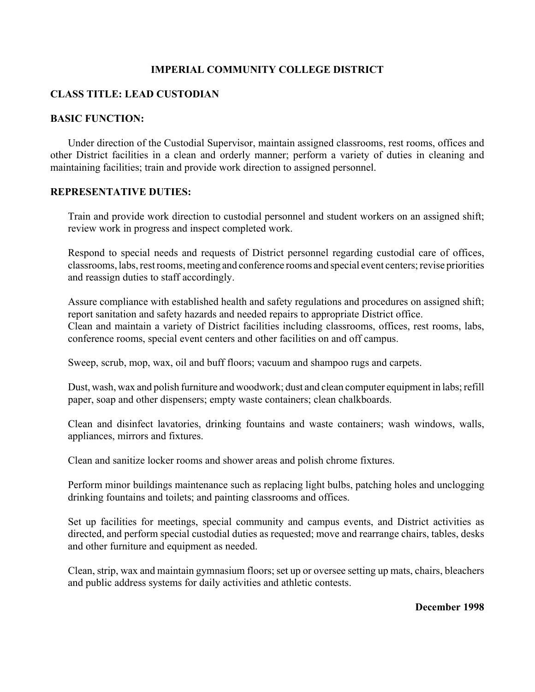### **IMPERIAL COMMUNITY COLLEGE DISTRICT**

# **CLASS TITLE: LEAD CUSTODIAN**

#### **BASIC FUNCTION:**

Under direction of the Custodial Supervisor, maintain assigned classrooms, rest rooms, offices and other District facilities in a clean and orderly manner; perform a variety of duties in cleaning and maintaining facilities; train and provide work direction to assigned personnel.

#### **REPRESENTATIVE DUTIES:**

Train and provide work direction to custodial personnel and student workers on an assigned shift; review work in progress and inspect completed work.

Respond to special needs and requests of District personnel regarding custodial care of offices, classrooms, labs, rest rooms, meeting and conference rooms and special event centers; revise priorities and reassign duties to staff accordingly.

Assure compliance with established health and safety regulations and procedures on assigned shift; report sanitation and safety hazards and needed repairs to appropriate District office. Clean and maintain a variety of District facilities including classrooms, offices, rest rooms, labs, conference rooms, special event centers and other facilities on and off campus.

Sweep, scrub, mop, wax, oil and buff floors; vacuum and shampoo rugs and carpets.

Dust, wash, wax and polish furniture and woodwork; dust and clean computer equipment in labs; refill paper, soap and other dispensers; empty waste containers; clean chalkboards.

Clean and disinfect lavatories, drinking fountains and waste containers; wash windows, walls, appliances, mirrors and fixtures.

Clean and sanitize locker rooms and shower areas and polish chrome fixtures.

Perform minor buildings maintenance such as replacing light bulbs, patching holes and unclogging drinking fountains and toilets; and painting classrooms and offices.

Set up facilities for meetings, special community and campus events, and District activities as directed, and perform special custodial duties as requested; move and rearrange chairs, tables, desks and other furniture and equipment as needed.

Clean, strip, wax and maintain gymnasium floors; set up or oversee setting up mats, chairs, bleachers and public address systems for daily activities and athletic contests.

**December 1998**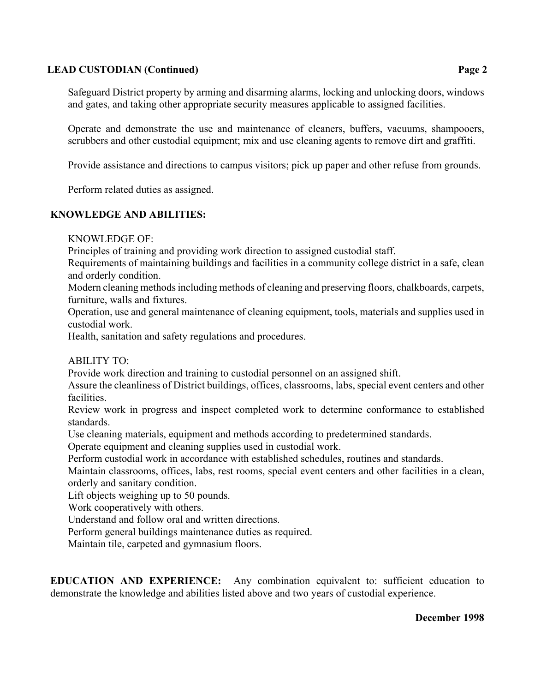### **LEAD CUSTODIAN (Continued) Page 2**

Safeguard District property by arming and disarming alarms, locking and unlocking doors, windows and gates, and taking other appropriate security measures applicable to assigned facilities.

Operate and demonstrate the use and maintenance of cleaners, buffers, vacuums, shampooers, scrubbers and other custodial equipment; mix and use cleaning agents to remove dirt and graffiti.

Provide assistance and directions to campus visitors; pick up paper and other refuse from grounds.

Perform related duties as assigned.

#### **KNOWLEDGE AND ABILITIES:**

KNOWLEDGE OF:

Principles of training and providing work direction to assigned custodial staff.

Requirements of maintaining buildings and facilities in a community college district in a safe, clean and orderly condition.

Modern cleaning methods including methods of cleaning and preserving floors, chalkboards, carpets, furniture, walls and fixtures.

Operation, use and general maintenance of cleaning equipment, tools, materials and supplies used in custodial work.

Health, sanitation and safety regulations and procedures.

ABILITY TO:

Provide work direction and training to custodial personnel on an assigned shift.

Assure the cleanliness of District buildings, offices, classrooms, labs, special event centers and other facilities.

Review work in progress and inspect completed work to determine conformance to established standards.

Use cleaning materials, equipment and methods according to predetermined standards.

Operate equipment and cleaning supplies used in custodial work.

Perform custodial work in accordance with established schedules, routines and standards.

Maintain classrooms, offices, labs, rest rooms, special event centers and other facilities in a clean, orderly and sanitary condition.

Lift objects weighing up to 50 pounds.

Work cooperatively with others.

Understand and follow oral and written directions.

Perform general buildings maintenance duties as required.

Maintain tile, carpeted and gymnasium floors.

**EDUCATION AND EXPERIENCE:** Any combination equivalent to: sufficient education to demonstrate the knowledge and abilities listed above and two years of custodial experience.